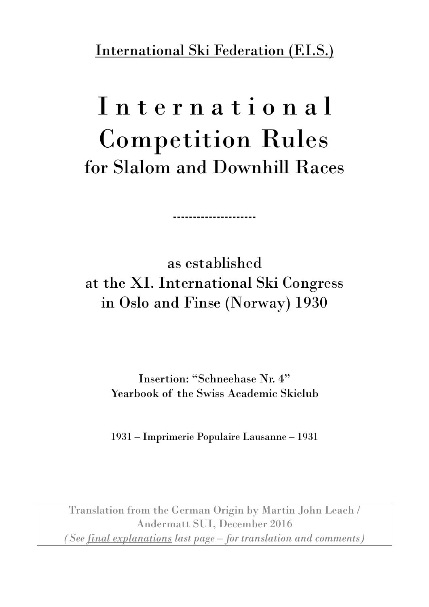International Ski Federation (F.I.S.)

# I n t e r n a t i o n a l Competition Rules for Slalom and Downhill Races

as established at the XI. International Ski Congress in Oslo and Finse (Norway) 1930

---------------------

Insertion: "Schneehase Nr. 4" Yearbook of the Swiss Academic Skiclub

1931 – Imprimerie Populaire Lausanne – 1931

Translation from the German Origin by Martin John Leach / Andermatt SUI, December 2016 *(See final explanations last page – for translation and comments)*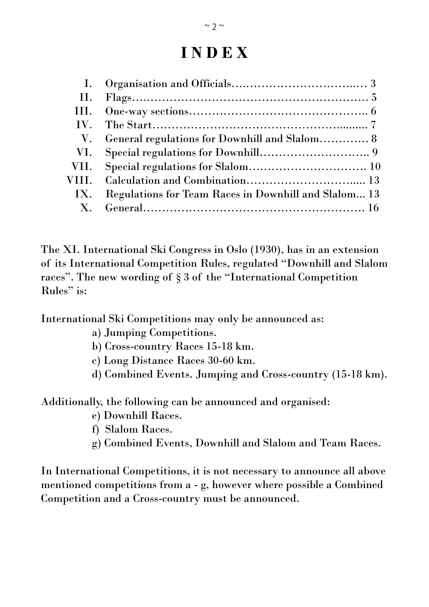# **I N D E X**

| $\mathbf{I}$ .          |                                                      |  |
|-------------------------|------------------------------------------------------|--|
| II.                     |                                                      |  |
| III.                    |                                                      |  |
| $\mathbf{IV}_{\text{}}$ |                                                      |  |
| $V_{\cdot}$             | General regulations for Downhill and Slalom 8        |  |
| VI.                     |                                                      |  |
| VII.                    |                                                      |  |
| VIII.                   |                                                      |  |
| IX.                     | Regulations for Team Races in Downhill and Slalom 13 |  |
|                         |                                                      |  |
|                         |                                                      |  |

The XI. International Ski Congress in Oslo (1930), has in an extension of its International Competition Rules, regulated "Downhill and Slalom races". The new wording of § 3 of the "International Competition Rules" is:

International Ski Competitions may only be announced as:

- a) Jumping Competitions.
- b) Cross-country Races 15-18 km.
- c) Long Distance Races 30-60 km.
- d) Combined Events. Jumping and Cross-country (15-18 km).

Additionally, the following can be announced and organised:

- e) Downhill Races.
- f) Slalom Races.
- g) Combined Events, Downhill and Slalom and Team Races.

In International Competitions, it is not necessary to announce all above mentioned competitions from a - g, however where possible a Combined Competition and a Cross-country must be announced.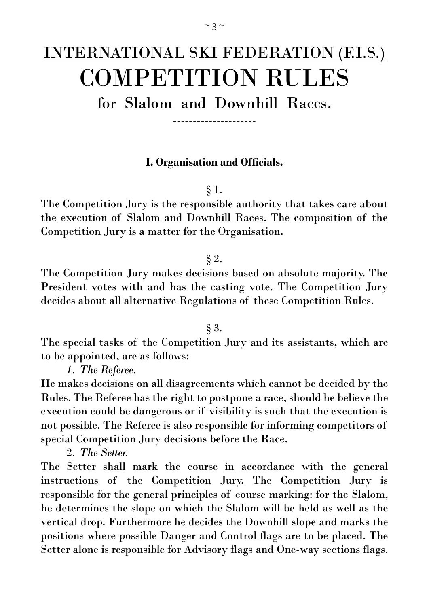# INTERNATIONAL SKI FEDERATION (F.I.S.) COMPETITION RULES

for Slalom and Downhill Races.

---------------------

# **I. Organisation and Officials.**

§ 1.

The Competition Jury is the responsible authority that takes care about the execution of Slalom and Downhill Races. The composition of the Competition Jury is a matter for the Organisation.

# § 2.

The Competition Jury makes decisions based on absolute majority. The President votes with and has the casting vote. The Competition Jury decides about all alternative Regulations of these Competition Rules.

# § 3.

The special tasks of the Competition Jury and its assistants, which are to be appointed, are as follows:

*1. The Referee.*

He makes decisions on all disagreements which cannot be decided by the Rules. The Referee has the right to postpone a race, should he believe the execution could be dangerous or if visibility is such that the execution is not possible. The Referee is also responsible for informing competitors of special Competition Jury decisions before the Race.

2. *The Setter.*

The Setter shall mark the course in accordance with the general instructions of the Competition Jury. The Competition Jury is responsible for the general principles of course marking: for the Slalom, he determines the slope on which the Slalom will be held as well as the vertical drop. Furthermore he decides the Downhill slope and marks the positions where possible Danger and Control flags are to be placed. The Setter alone is responsible for Advisory flags and One-way sections flags.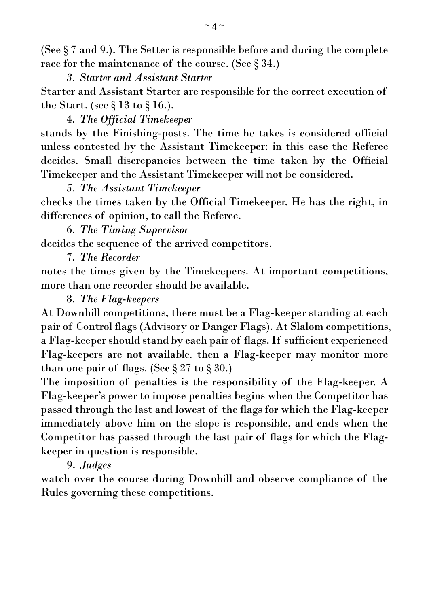(See § 7 and 9.). The Setter is responsible before and during the complete race for the maintenance of the course. (See § 34.)

*3. Starter and Assistant Starter*

Starter and Assistant Starter are responsible for the correct execution of the Start. (see § 13 to § 16.).

4. *The Official Timekeeper* stands by the Finishing-posts. The time he takes is considered official unless contested by the Assistant Timekeeper: in this case the Referee decides. Small discrepancies between the time taken by the Official Timekeeper and the Assistant Timekeeper will not be considered.

*5. The Assistant Timekeeper*  checks the times taken by the Official Timekeeper. He has the right, in differences of opinion, to call the Referee.

6. *The Timing Supervisor* decides the sequence of the arrived competitors.

7. *The Recorder*

notes the times given by the Timekeepers. At important competitions, more than one recorder should be available.

8. *The Flag-keepers*

At Downhill competitions, there must be a Flag-keeper standing at each pair of Control flags (Advisory or Danger Flags). At Slalom competitions, a Flag-keepershould stand by each pair of flags. If sufficient experienced Flag-keepers are not available, then a Flag-keeper may monitor more than one pair of flags. (See  $\S 27$  to  $\S 30$ .)

The imposition of penalties is the responsibility of the Flag-keeper. A Flag-keeper's power to impose penalties begins when the Competitor has passed through the last and lowest of the flags for which the Flag-keeper immediately above him on the slope is responsible, and ends when the Competitor has passed through the last pair of flags for which the Flagkeeper in question is responsible.

9. *Judges*

watch over the course during Downhill and observe compliance of the Rules governing these competitions.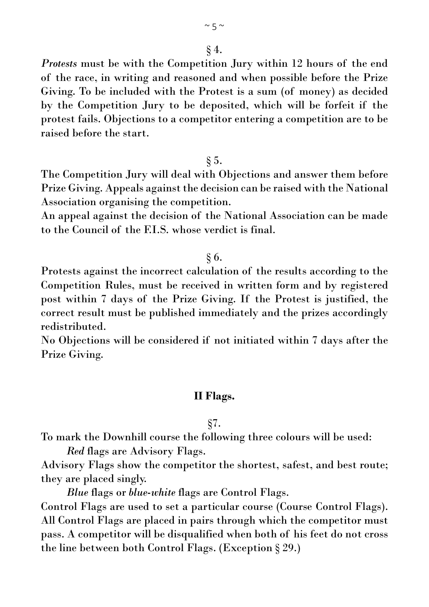*Protests* must be with the Competition Jury within 12 hours of the end of the race, in writing and reasoned and when possible before the Prize Giving. To be included with the Protest is a sum (of money) as decided by the Competition Jury to be deposited, which will be forfeit if the protest fails. Objections to a competitor entering a competition are to be raised before the start.

 $\S$  5.

The Competition Jury will deal with Objections and answer them before Prize Giving. Appeals against the decision can be raised with the National Association organising the competition.

An appeal against the decision of the National Association can be made to the Council of the F.I.S. whose verdict is final.

# § 6.

Protests against the incorrect calculation of the results according to the Competition Rules, must be received in written form and by registered post within 7 days of the Prize Giving. If the Protest is justified, the correct result must be published immediately and the prizes accordingly redistributed.

No Objections will be considered if not initiated within 7 days after the Prize Giving.

# **II Flags.**

§7.

To mark the Downhill course the following three colours will be used:

*Red* flags are Advisory Flags.

Advisory Flags show the competitor the shortest, safest, and best route; they are placed singly.

*Blue* flags or *blue-white* flags are Control Flags.

Control Flags are used to set a particular course (Course Control Flags). All Control Flags are placed in pairs through which the competitor must pass. A competitor will be disqualified when both of his feet do not cross the line between both Control Flags. (Exception § 29.)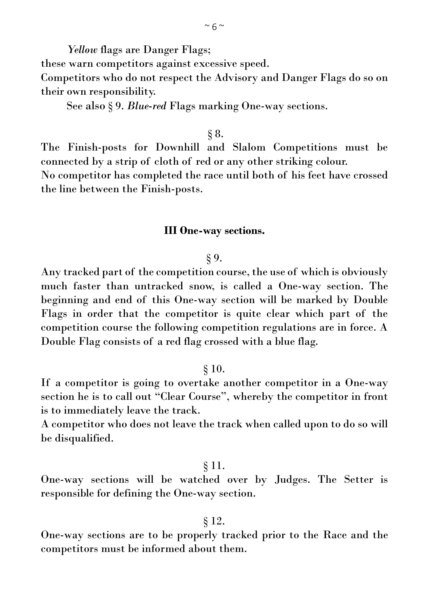*Yellow* flags are Danger Flags; these warn competitors against excessive speed. Competitors who do not respect the Advisory and Danger Flags do so on their own responsibility.

See also § 9. *Blue-red* Flags marking One-way sections.

#### § 8.

The Finish-posts for Downhill and Slalom Competitions must be connected by a strip of cloth of red or any other striking colour.

No competitor has completed the race until both of his feet have crossed the line between the Finish-posts.

#### **III One-way sections.**

#### § 9.

Any tracked part of the competition course, the use of which is obviously much faster than untracked snow, is called a One-way section. The beginning and end of this One-way section will be marked by Double Flags in order that the competitor is quite clear which part of the competition course the following competition regulations are in force. A Double Flag consists of a red flag crossed with a blue flag.

#### § 10.

If a competitor is going to overtake another competitor in a One-way section he is to call out "Clear Course", whereby the competitor in front is to immediately leave the track.

A competitor who does not leave the track when called upon to do so will be disqualified.

#### § 11.

One-way sections will be watched over by Judges. The Setter is responsible for defining the One-way section.

#### § 12.

One-way sections are to be properly tracked prior to the Race and the competitors must be informed about them.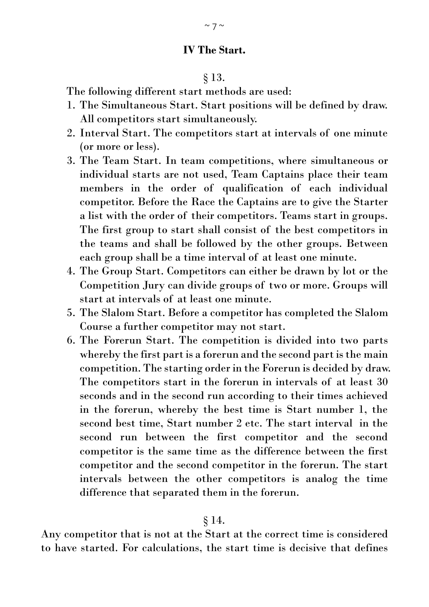# **IV The Start.**

#### § 13.

The following different start methods are used:

- 1. The Simultaneous Start. Start positions will be defined by draw. All competitors start simultaneously.
- 2. Interval Start. The competitors start at intervals of one minute (or more or less).
- 3. The Team Start. In team competitions, where simultaneous or individual starts are not used, Team Captains place their team members in the order of qualification of each individual competitor. Before the Race the Captains are to give the Starter a list with the order of their competitors. Teams start in groups. The first group to start shall consist of the best competitors in the teams and shall be followed by the other groups. Between each group shall be a time interval of at least one minute.
- 4. The Group Start. Competitors can either be drawn by lot or the Competition Jury can divide groups of two or more. Groups will start at intervals of at least one minute.
- 5. The Slalom Start. Before a competitor has completed the Slalom Course a further competitor may not start.
- 6. The Forerun Start. The competition is divided into two parts whereby the first part is a forerun and the second part is the main competition. The starting order in the Forerun is decided by draw. The competitors start in the forerun in intervals of at least 30 seconds and in the second run according to their times achieved in the forerun, whereby the best time is Start number 1, the second best time, Start number 2 etc. The start interval in the second run between the first competitor and the second competitor is the same time as the difference between the first competitor and the second competitor in the forerun. The start intervals between the other competitors is analog the time difference that separated them in the forerun.

#### § 14.

Any competitor that is not at the Start at the correct time is considered to have started. For calculations, the start time is decisive that defines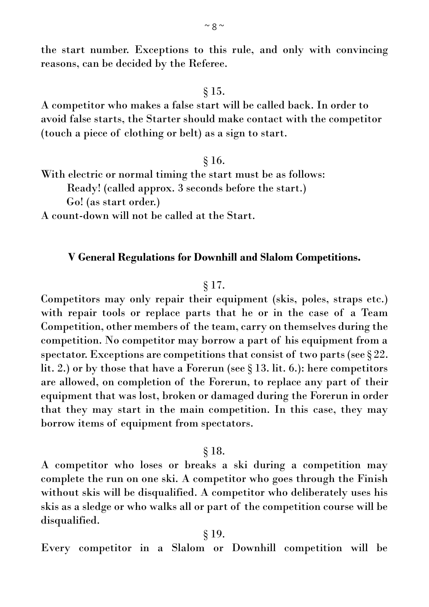the start number. Exceptions to this rule, and only with convincing reasons, can be decided by the Referee.

§ 15.

A competitor who makes a false start will be called back. In order to avoid false starts, the Starter should make contact with the competitor (touch a piece of clothing or belt) as a sign to start.

#### § 16.

With electric or normal timing the start must be as follows:

Ready! (called approx. 3 seconds before the start.)

Go! (as start order.)

A count-down will not be called at the Start.

#### **V General Regulations for Downhill and Slalom Competitions.**

#### § 17.

Competitors may only repair their equipment (skis, poles, straps etc.) with repair tools or replace parts that he or in the case of a Team Competition, other members of the team, carry on themselves during the competition. No competitor may borrow a part of his equipment from a spectator. Exceptions are competitions that consist of two parts (see  $\S 22$ . lit. 2.) or by those that have a Forerun (see § 13. lit. 6.): here competitors are allowed, on completion of the Forerun, to replace any part of their equipment that was lost, broken or damaged during the Forerun in order that they may start in the main competition. In this case, they may borrow items of equipment from spectators.

#### § 18.

A competitor who loses or breaks a ski during a competition may complete the run on one ski. A competitor who goes through the Finish without skis will be disqualified. A competitor who deliberately uses his skis as a sledge or who walks all or part of the competition course will be disqualified.

#### § 19.

Every competitor in a Slalom or Downhill competition will be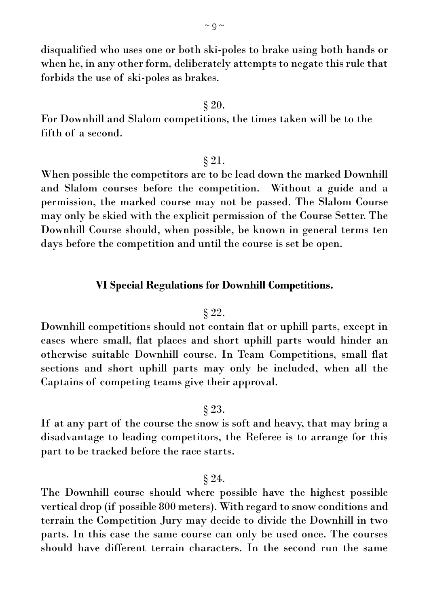disqualified who uses one or both ski-poles to brake using both hands or when he, in any other form, deliberately attempts to negate this rule that forbids the use of ski-poles as brakes.

#### § 20.

For Downhill and Slalom competitions, the times taken will be to the fifth of a second.

#### § 21.

When possible the competitors are to be lead down the marked Downhill and Slalom courses before the competition. Without a guide and a permission, the marked course may not be passed. The Slalom Course may only be skied with the explicit permission of the Course Setter. The Downhill Course should, when possible, be known in general terms ten days before the competition and until the course is set be open.

#### **VI Special Regulations for Downhill Competitions.**

#### § 22.

Downhill competitions should not contain flat or uphill parts, except in cases where small, flat places and short uphill parts would hinder an otherwise suitable Downhill course. In Team Competitions, small flat sections and short uphill parts may only be included, when all the Captains of competing teams give their approval.

# § 23.

If at any part of the course the snow is soft and heavy, that may bring a disadvantage to leading competitors, the Referee is to arrange for this part to be tracked before the race starts.

#### § 24.

The Downhill course should where possible have the highest possible vertical drop (if possible 800 meters). With regard to snow conditions and terrain the Competition Jury may decide to divide the Downhill in two parts. In this case the same course can only be used once. The courses should have different terrain characters. In the second run the same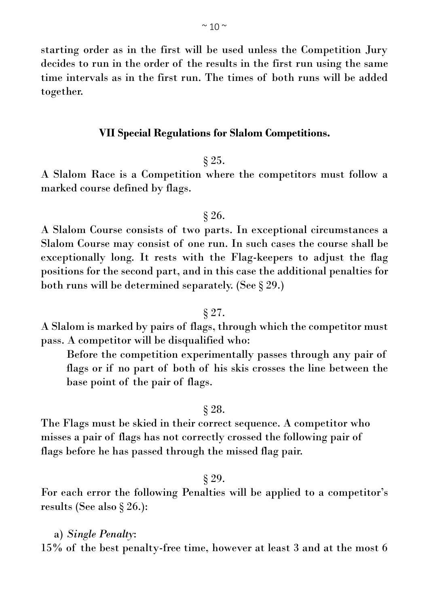starting order as in the first will be used unless the Competition Jury decides to run in the order of the results in the first run using the same time intervals as in the first run. The times of both runs will be added together.

#### **VII Special Regulations for Slalom Competitions.**

#### § 25.

A Slalom Race is a Competition where the competitors must follow a marked course defined by flags.

# § 26.

A Slalom Course consists of two parts. In exceptional circumstances a Slalom Course may consist of one run. In such cases the course shall be exceptionally long. It rests with the Flag-keepers to adjust the flag positions for the second part, and in this case the additional penalties for both runs will be determined separately. (See § 29.)

#### § 27.

A Slalom is marked by pairs of flags, through which the competitor must pass. A competitor will be disqualified who:

Before the competition experimentally passes through any pair of flags or if no part of both of his skis crosses the line between the base point of the pair of flags.

#### § 28.

The Flags must be skied in their correct sequence. A competitor who misses a pair of flags has not correctly crossed the following pair of flags before he has passed through the missed flag pair.

#### § 29.

For each error the following Penalties will be applied to a competitor's results (See also § 26.):

a) *Single Penalty*: 15% of the best penalty-free time, however at least 3 and at the most 6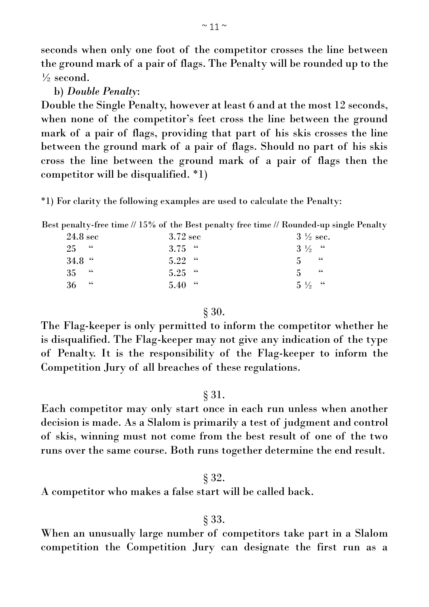seconds when only one foot of the competitor crosses the line between the ground mark of a pair of flags. The Penalty will be rounded up to the  $\frac{1}{2}$  second.

b) *Double Penalty*:

Double the Single Penalty, however at least 6 and at the most 12 seconds, when none of the competitor's feet cross the line between the ground mark of a pair of flags, providing that part of his skis crosses the line between the ground mark of a pair of flags. Should no part of his skis cross the line between the ground mark of a pair of flags then the competitor will be disqualified. \*1)

\*1) For clarity the following examples are used to calculate the Penalty:

Best penalty-free time // 15% of the Best penalty free time // Rounded-up single Penalty

| $24.8~\mathrm{sec}$ | $3.72 \text{ sec}$ | $3\frac{1}{2}$ sec. |    |
|---------------------|--------------------|---------------------|----|
| 25 <sup>4</sup>     | $3.75$ "           | $3\frac{1}{2}$ "    |    |
| $34.8$ "            | $5.22$ "           | $5 -$               | 66 |
| $35 - 44$           | $5.25$ "           | 5 <sup>1</sup>      | 66 |
| $36 - 4$            | $5.40$ "           | $5\frac{1}{2}$ "    |    |

# § 30.

The Flag-keeper is only permitted to inform the competitor whether he is disqualified. The Flag-keeper may not give any indication of the type of Penalty. It is the responsibility of the Flag-keeper to inform the Competition Jury of all breaches of these regulations.

# § 31.

Each competitor may only start once in each run unless when another decision is made. As a Slalom is primarily a test of judgment and control of skis, winning must not come from the best result of one of the two runs over the same course. Both runs together determine the end result.

# § 32.

A competitor who makes a false start will be called back.

# § 33.

When an unusually large number of competitors take part in a Slalom competition the Competition Jury can designate the first run as a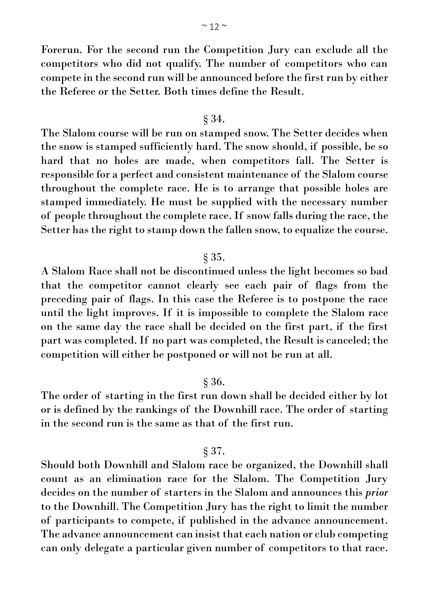Forerun. For the second run the Competition Jury can exclude all the competitors who did not qualify. The number of competitors who can compete in the second run will be announced before the first run by either the Referee or the Setter. Both times define the Result.

#### § 34.

The Slalom course will be run on stamped snow. The Setter decides when the snow is stamped sufficiently hard. The snow should, if possible, be so hard that no holes are made, when competitors fall. The Setter is responsible for a perfect and consistent maintenance of the Slalom course throughout the complete race. He is to arrange that possible holes are stamped immediately. He must be supplied with the necessary number of people throughout the complete race. If snow falls during the race, the Setter has the right to stamp down the fallen snow, to equalize the course.

#### § 35.

A Slalom Race shall not be discontinued unless the light becomes so bad that the competitor cannot clearly see each pair of flags from the preceding pair of flags. In this case the Referee is to postpone the race until the light improves. If it is impossible to complete the Slalom race on the same day the race shall be decided on the first part, if the first part was completed. If no part was completed, the Result is canceled; the competition will either be postponed or will not be run at all.

#### § 36.

The order of starting in the first run down shall be decided either by lot or is defined by the rankings of the Downhill race. The order of starting in the second run is the same as that of the first run.

#### § 37.

Should both Downhill and Slalom race be organized, the Downhill shall count as an elimination race for the Slalom. The Competition Jury decides on the number of starters in the Slalom and announces this *prior* to the Downhill. The Competition Jury has the right to limit the number of participants to compete, if published in the advance announcement. The advance announcement can insist that each nation or club competing can only delegate a particular given number of competitors to that race.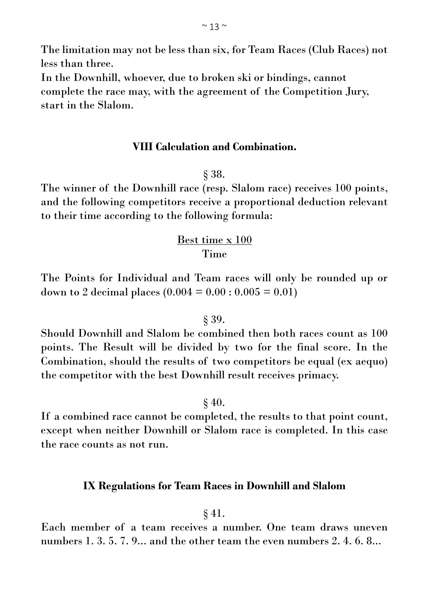The limitation may not be less than six, for Team Races (Club Races) not less than three.

In the Downhill, whoever, due to broken ski or bindings, cannot complete the race may, with the agreement of the Competition Jury, start in the Slalom.

# **VIII Calculation and Combination.**

#### § 38.

The winner of the Downhill race (resp. Slalom race) receives 100 points, and the following competitors receive a proportional deduction relevant to their time according to the following formula:

# Best time x 100 Time

The Points for Individual and Team races will only be rounded up or down to 2 decimal places  $(0.004 = 0.00 : 0.005 = 0.01)$ 

#### § 39.

Should Downhill and Slalom be combined then both races count as 100 points. The Result will be divided by two for the final score. In the Combination, should the results of two competitors be equal (ex aequo) the competitor with the best Downhill result receives primacy.

 $\S 40.$ 

If a combined race cannot be completed, the results to that point count, except when neither Downhill or Slalom race is completed. In this case the race counts as not run.

#### **IX Regulations for Team Races in Downhill and Slalom**

#### § 41.

Each member of a team receives a number. One team draws uneven numbers 1, 3, 5, 7, 9... and the other team the even numbers 2, 4, 6, 8...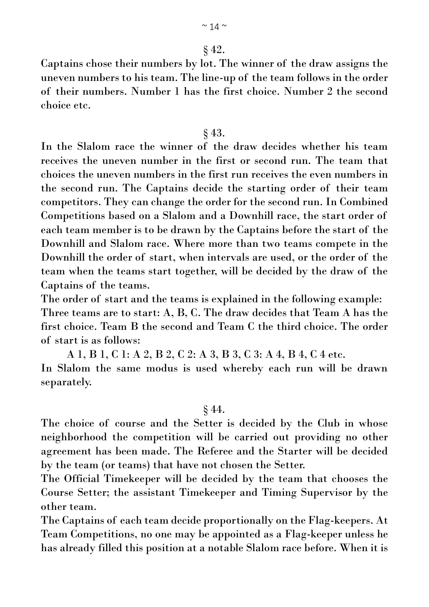# § 42.

Captains chose their numbers by lot. The winner of the draw assigns the uneven numbers to his team. The line-up of the team follows in the order of their numbers. Number 1 has the first choice. Number 2 the second choice etc.

# § 43.

In the Slalom race the winner of the draw decides whether his team receives the uneven number in the first or second run. The team that choices the uneven numbers in the first run receives the even numbers in the second run. The Captains decide the starting order of their team competitors. They can change the order for the second run. In Combined Competitions based on a Slalom and a Downhill race, the start order of each team member is to be drawn by the Captains before the start of the Downhill and Slalom race. Where more than two teams compete in the Downhill the order of start, when intervals are used, or the order of the team when the teams start together, will be decided by the draw of the Captains of the teams.

The order of start and the teams is explained in the following example: Three teams are to start: A, B, C. The draw decides that Team A has the first choice. Team B the second and Team C the third choice. The order of start is as follows:

A 1, B 1, C 1: A 2, B 2, C 2: A 3, B 3, C 3: A 4, B 4, C 4 etc. In Slalom the same modus is used whereby each run will be drawn separately.

# § 44.

The choice of course and the Setter is decided by the Club in whose neighborhood the competition will be carried out providing no other agreement has been made. The Referee and the Starter will be decided by the team (or teams) that have not chosen the Setter.

The Official Timekeeper will be decided by the team that chooses the Course Setter; the assistant Timekeeper and Timing Supervisor by the other team.

The Captains of each team decide proportionally on the Flag-keepers. At Team Competitions, no one may be appointed as a Flag-keeper unless he has already filled this position at a notable Slalom race before. When it is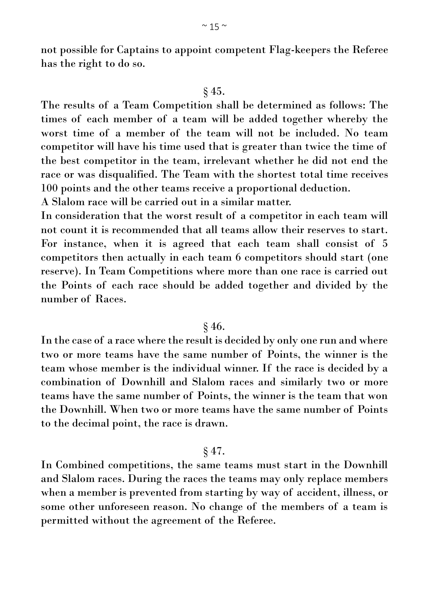not possible for Captains to appoint competent Flag-keepers the Referee has the right to do so.

#### § 45.

The results of a Team Competition shall be determined as follows: The times of each member of a team will be added together whereby the worst time of a member of the team will not be included. No team competitor will have his time used that is greater than twice the time of the best competitor in the team, irrelevant whether he did not end the race or was disqualified. The Team with the shortest total time receives 100 points and the other teams receive a proportional deduction.

A Slalom race will be carried out in a similar matter.

In consideration that the worst result of a competitor in each team will not count it is recommended that all teams allow their reserves to start. For instance, when it is agreed that each team shall consist of 5 competitors then actually in each team 6 competitors should start (one reserve). In Team Competitions where more than one race is carried out the Points of each race should be added together and divided by the number of Races.

#### § 46.

In the case of a race where the result is decided by only one run and where two or more teams have the same number of Points, the winner is the team whose member is the individual winner. If the race is decided by a combination of Downhill and Slalom races and similarly two or more teams have the same number of Points, the winner is the team that won the Downhill. When two or more teams have the same number of Points to the decimal point, the race is drawn.

#### § 47.

In Combined competitions, the same teams must start in the Downhill and Slalom races. During the races the teams may only replace members when a member is prevented from starting by way of accident, illness, or some other unforeseen reason. No change of the members of a team is permitted without the agreement of the Referee.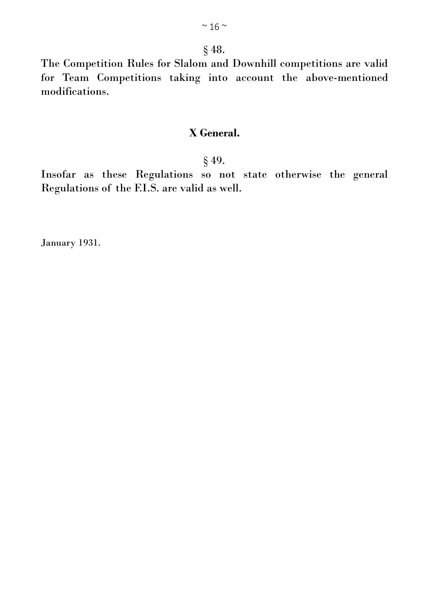# § 48.

The Competition Rules for Slalom and Downhill competitions are valid for Team Competitions taking into account the above-mentioned modifications.

# **X General.**

### § 49.

Insofar as these Regulations so not state otherwise the general Regulations of the F.I.S. are valid as well.

January 1931.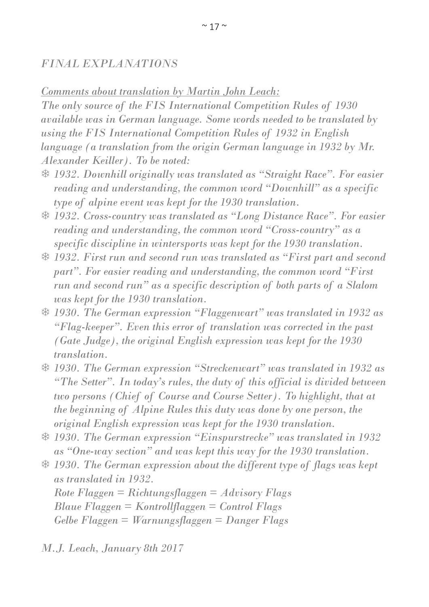# *FINAL EXPLANATIONS*

*Comments about translation by Martin John Leach:*

*The only source of the FIS International Competition Rules of 1930 available was in German language. Some words needed to be translated by using the FIS International Competition Rules of 1932 in English language (a translation from the origin German language in 1932 by Mr. Alexander Keiller). To be noted:*

- *1932. Downhill originally was translated as "Straight Race". For easier reading and understanding, the common word "Downhill" as a specific type of alpine event was kept for the 1930 translation.*
- *1932. Cross-country was translated as "Long Distance Race". For easier reading and understanding, the common word "Cross-country" as a specific discipline in wintersports was kept for the 1930 translation.*
- *1932. First run and second run was translated as "First part and second part". For easier reading and understanding, the common word "First run and second run" as a specific description of both parts of a Slalom was kept for the 1930 translation.*
- *1930. The German expression "Flaggenwart" was translated in 1932 as "Flag-keeper". Even this error of translation was corrected in the past (Gate Judge), the original English expression was kept for the 1930 translation.*
- *1930. The German expression "Streckenwart" was translated in 1932 as "The Setter". In today's rules, the duty of this official is divided between two persons (Chief of Course and Course Setter). To highlight, that at the beginning of Alpine Rules this duty was done by one person, the original English expression was kept for the 1930 translation.*
- *1930. The German expression "Einspurstrecke" was translated in 1932 as "One-way section" and was kept this way for the 1930 translation.*
- *1930. The German expression about the different type of flags was kept as translated in 1932.*

*Rote Flaggen = Richtungsflaggen = Advisory Flags Blaue Flaggen = Kontrollflaggen = Control Flags Gelbe Flaggen = Warnungsflaggen = Danger Flags* 

*M.J. Leach, January 8th 2017*